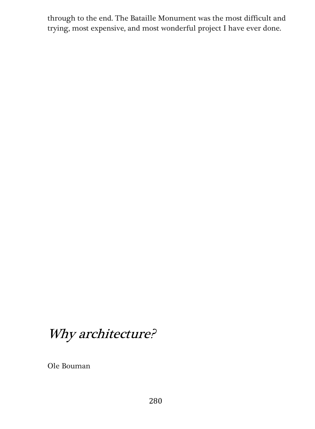through to the end. The Bataille Monument was the most difficult and trying, most expensive, and most wonderful project I have ever done.

## Why architecture?

Ole Bouman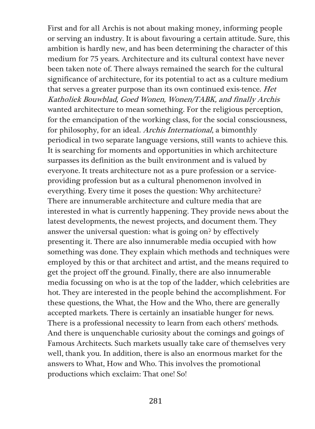First and for all Archis is not about making money, informing people or serving an industry. It is about favouring a certain attitude. Sure, this ambition is hardly new, and has been determining the character of this medium for 75 years. Architecture and its cultural context have never been taken note of. There always remained the search for the cultural significance of architecture, for its potential to act as a culture medium that serves a greater purpose than its own continued exis-tence. Het Katholiek Bouwblad, Goed Wonen, Wonen/TABK, and finally Archis wanted architecture to mean something. For the religious perception, for the emancipation of the working class, for the social consciousness, for philosophy, for an ideal. Archis International, a bimonthly periodical in two separate language versions, still wants to achieve this. It is searching for moments and opportunities in which architecture surpasses its definition as the built environment and is valued by everyone. It treats architecture not as a pure profession or a serviceproviding profession but as a cultural phenomenon involved in everything. Every time it poses the question: Why architecture? There are innumerable architecture and culture media that are interested in what is currently happening. They provide news about the latest developments, the newest projects, and document them. They answer the universal question: what is going on? by effectively presenting it. There are also innumerable media occupied with how something was done. They explain which methods and techniques were employed by this or that architect and artist, and the means required to get the project off the ground. Finally, there are also innumerable media focussing on who is at the top of the ladder, which celebrities are hot. They are interested in the people behind the accomplishment. For these questions, the What, the How and the Who, there are generally accepted markets. There is certainly an insatiable hunger for news. There is a professional necessity to learn from each others' methods. And there is unquenchable curiosity about the comings and goings of Famous Architects. Such markets usually take care of themselves very well, thank you. In addition, there is also an enormous market for the answers to What, How and Who. This involves the promotional productions which exclaim: That one! So!